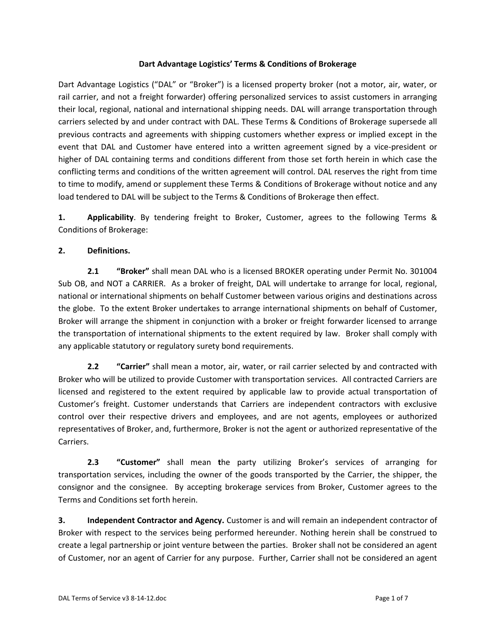## **Dart Advantage Logistics' Terms & Conditions of Brokerage**

Dart Advantage Logistics ("DAL" or "Broker") is a licensed property broker (not a motor, air, water, or rail carrier, and not a freight forwarder) offering personalized services to assist customers in arranging their local, regional, national and international shipping needs. DAL will arrange transportation through carriers selected by and under contract with DAL. These Terms & Conditions of Brokerage supersede all previous contracts and agreements with shipping customers whether express or implied except in the event that DAL and Customer have entered into a written agreement signed by a vice-president or higher of DAL containing terms and conditions different from those set forth herein in which case the conflicting terms and conditions of the written agreement will control. DAL reserves the right from time to time to modify, amend or supplement these Terms & Conditions of Brokerage without notice and any load tendered to DAL will be subject to the Terms & Conditions of Brokerage then effect.

**1. Applicability**. By tendering freight to Broker, Customer, agrees to the following Terms & Conditions of Brokerage:

## **2. Definitions.**

**2.1 "Broker"** shall mean DAL who is a licensed BROKER operating under Permit No. 301004 Sub OB, and NOT a CARRIER. As a broker of freight, DAL will undertake to arrange for local, regional, national or international shipments on behalf Customer between various origins and destinations across the globe. To the extent Broker undertakes to arrange international shipments on behalf of Customer, Broker will arrange the shipment in conjunction with a broker or freight forwarder licensed to arrange the transportation of international shipments to the extent required by law. Broker shall comply with any applicable statutory or regulatory surety bond requirements.

**2.2 "Carrier"** shall mean a motor, air, water, or rail carrier selected by and contracted with Broker who will be utilized to provide Customer with transportation services. All contracted Carriers are licensed and registered to the extent required by applicable law to provide actual transportation of Customer's freight. Customer understands that Carriers are independent contractors with exclusive control over their respective drivers and employees, and are not agents, employees or authorized representatives of Broker, and, furthermore, Broker is not the agent or authorized representative of the Carriers.

**2.3 "Customer"** shall mean **t**he party utilizing Broker's services of arranging for transportation services, including the owner of the goods transported by the Carrier, the shipper, the consignor and the consignee. By accepting brokerage services from Broker, Customer agrees to the Terms and Conditions set forth herein.

**3. Independent Contractor and Agency.** Customer is and will remain an independent contractor of Broker with respect to the services being performed hereunder. Nothing herein shall be construed to create a legal partnership or joint venture between the parties. Broker shall not be considered an agent of Customer, nor an agent of Carrier for any purpose. Further, Carrier shall not be considered an agent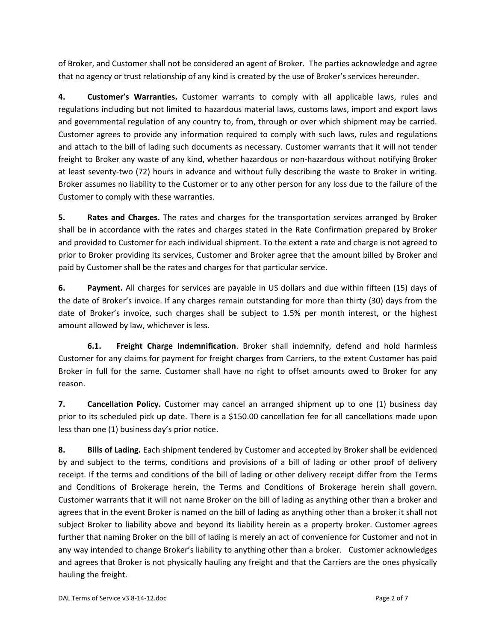of Broker, and Customer shall not be considered an agent of Broker. The parties acknowledge and agree that no agency or trust relationship of any kind is created by the use of Broker's services hereunder.

**4. Customer's Warranties.** Customer warrants to comply with all applicable laws, rules and regulations including but not limited to hazardous material laws, customs laws, import and export laws and governmental regulation of any country to, from, through or over which shipment may be carried. Customer agrees to provide any information required to comply with such laws, rules and regulations and attach to the bill of lading such documents as necessary. Customer warrants that it will not tender freight to Broker any waste of any kind, whether hazardous or non-hazardous without notifying Broker at least seventy-two (72) hours in advance and without fully describing the waste to Broker in writing. Broker assumes no liability to the Customer or to any other person for any loss due to the failure of the Customer to comply with these warranties.

**5. Rates and Charges.** The rates and charges for the transportation services arranged by Broker shall be in accordance with the rates and charges stated in the Rate Confirmation prepared by Broker and provided to Customer for each individual shipment. To the extent a rate and charge is not agreed to prior to Broker providing its services, Customer and Broker agree that the amount billed by Broker and paid by Customer shall be the rates and charges for that particular service.

**6. Payment.** All charges for services are payable in US dollars and due within fifteen (15) days of the date of Broker's invoice. If any charges remain outstanding for more than thirty (30) days from the date of Broker's invoice, such charges shall be subject to 1.5% per month interest, or the highest amount allowed by law, whichever is less.

**6.1. Freight Charge Indemnification**. Broker shall indemnify, defend and hold harmless Customer for any claims for payment for freight charges from Carriers, to the extent Customer has paid Broker in full for the same. Customer shall have no right to offset amounts owed to Broker for any reason.

**7. Cancellation Policy.** Customer may cancel an arranged shipment up to one (1) business day prior to its scheduled pick up date. There is a \$150.00 cancellation fee for all cancellations made upon less than one (1) business day's prior notice.

**8. Bills of Lading.** Each shipment tendered by Customer and accepted by Broker shall be evidenced by and subject to the terms, conditions and provisions of a bill of lading or other proof of delivery receipt. If the terms and conditions of the bill of lading or other delivery receipt differ from the Terms and Conditions of Brokerage herein, the Terms and Conditions of Brokerage herein shall govern. Customer warrants that it will not name Broker on the bill of lading as anything other than a broker and agrees that in the event Broker is named on the bill of lading as anything other than a broker it shall not subject Broker to liability above and beyond its liability herein as a property broker. Customer agrees further that naming Broker on the bill of lading is merely an act of convenience for Customer and not in any way intended to change Broker's liability to anything other than a broker. Customer acknowledges and agrees that Broker is not physically hauling any freight and that the Carriers are the ones physically hauling the freight.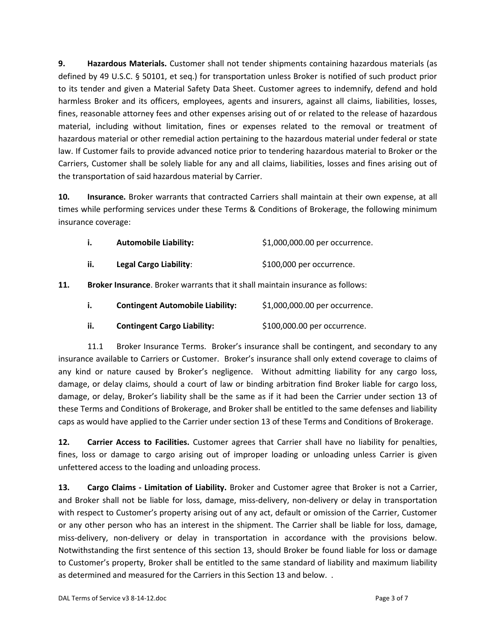**9. Hazardous Materials.** Customer shall not tender shipments containing hazardous materials (as defined by 49 U.S.C. § 50101, et seq.) for transportation unless Broker is notified of such product prior to its tender and given a Material Safety Data Sheet. Customer agrees to indemnify, defend and hold harmless Broker and its officers, employees, agents and insurers, against all claims, liabilities, losses, fines, reasonable attorney fees and other expenses arising out of or related to the release of hazardous material, including without limitation, fines or expenses related to the removal or treatment of hazardous material or other remedial action pertaining to the hazardous material under federal or state law. If Customer fails to provide advanced notice prior to tendering hazardous material to Broker or the Carriers, Customer shall be solely liable for any and all claims, liabilities, losses and fines arising out of the transportation of said hazardous material by Carrier.

**10. Insurance.** Broker warrants that contracted Carriers shall maintain at their own expense, at all times while performing services under these Terms & Conditions of Brokerage, the following minimum insurance coverage:

| <b>Automobile Liability:</b> | \$1,000,000.00 per occurrence. |
|------------------------------|--------------------------------|
|                              |                                |

**ii. Legal Cargo Liability**:  $$100,000$  per occurrence.

**11. Broker Insurance**. Broker warrants that it shall maintain insurance as follows:

|     | <b>Contingent Automobile Liability:</b> | \$1,000,000.00 per occurrence. |
|-----|-----------------------------------------|--------------------------------|
| ii. | <b>Contingent Cargo Liability:</b>      | \$100,000.00 per occurrence.   |

11.1 Broker Insurance Terms. Broker's insurance shall be contingent, and secondary to any insurance available to Carriers or Customer. Broker's insurance shall only extend coverage to claims of any kind or nature caused by Broker's negligence. Without admitting liability for any cargo loss, damage, or delay claims, should a court of law or binding arbitration find Broker liable for cargo loss, damage, or delay, Broker's liability shall be the same as if it had been the Carrier under section 13 of these Terms and Conditions of Brokerage, and Broker shall be entitled to the same defenses and liability caps as would have applied to the Carrier under section 13 of these Terms and Conditions of Brokerage.

**12. Carrier Access to Facilities.** Customer agrees that Carrier shall have no liability for penalties, fines, loss or damage to cargo arising out of improper loading or unloading unless Carrier is given unfettered access to the loading and unloading process.

**13. Cargo Claims - Limitation of Liability.** Broker and Customer agree that Broker is not a Carrier, and Broker shall not be liable for loss, damage, miss-delivery, non-delivery or delay in transportation with respect to Customer's property arising out of any act, default or omission of the Carrier, Customer or any other person who has an interest in the shipment. The Carrier shall be liable for loss, damage, miss-delivery, non-delivery or delay in transportation in accordance with the provisions below. Notwithstanding the first sentence of this section 13, should Broker be found liable for loss or damage to Customer's property, Broker shall be entitled to the same standard of liability and maximum liability as determined and measured for the Carriers in this Section 13 and below. .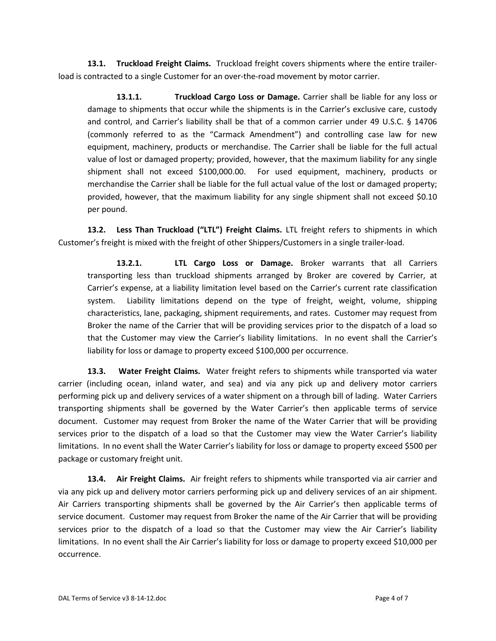**13.1. Truckload Freight Claims.** Truckload freight covers shipments where the entire trailerload is contracted to a single Customer for an over-the-road movement by motor carrier.

**13.1.1. Truckload Cargo Loss or Damage.** Carrier shall be liable for any loss or damage to shipments that occur while the shipments is in the Carrier's exclusive care, custody and control, and Carrier's liability shall be that of a common carrier under 49 U.S.C. § 14706 (commonly referred to as the "Carmack Amendment") and controlling case law for new equipment, machinery, products or merchandise. The Carrier shall be liable for the full actual value of lost or damaged property; provided, however, that the maximum liability for any single shipment shall not exceed \$100,000.00. For used equipment, machinery, products or merchandise the Carrier shall be liable for the full actual value of the lost or damaged property; provided, however, that the maximum liability for any single shipment shall not exceed \$0.10 per pound.

**13.2. Less Than Truckload ("LTL") Freight Claims.** LTL freight refers to shipments in which Customer's freight is mixed with the freight of other Shippers/Customers in a single trailer-load.

**13.2.1. LTL Cargo Loss or Damage.** Broker warrants that all Carriers transporting less than truckload shipments arranged by Broker are covered by Carrier, at Carrier's expense, at a liability limitation level based on the Carrier's current rate classification system. Liability limitations depend on the type of freight, weight, volume, shipping characteristics, lane, packaging, shipment requirements, and rates. Customer may request from Broker the name of the Carrier that will be providing services prior to the dispatch of a load so that the Customer may view the Carrier's liability limitations. In no event shall the Carrier's liability for loss or damage to property exceed \$100,000 per occurrence.

**13.3. Water Freight Claims.** Water freight refers to shipments while transported via water carrier (including ocean, inland water, and sea) and via any pick up and delivery motor carriers performing pick up and delivery services of a water shipment on a through bill of lading. Water Carriers transporting shipments shall be governed by the Water Carrier's then applicable terms of service document. Customer may request from Broker the name of the Water Carrier that will be providing services prior to the dispatch of a load so that the Customer may view the Water Carrier's liability limitations. In no event shall the Water Carrier's liability for loss or damage to property exceed \$500 per package or customary freight unit.

**13.4. Air Freight Claims.** Air freight refers to shipments while transported via air carrier and via any pick up and delivery motor carriers performing pick up and delivery services of an air shipment. Air Carriers transporting shipments shall be governed by the Air Carrier's then applicable terms of service document. Customer may request from Broker the name of the Air Carrier that will be providing services prior to the dispatch of a load so that the Customer may view the Air Carrier's liability limitations. In no event shall the Air Carrier's liability for loss or damage to property exceed \$10,000 per occurrence.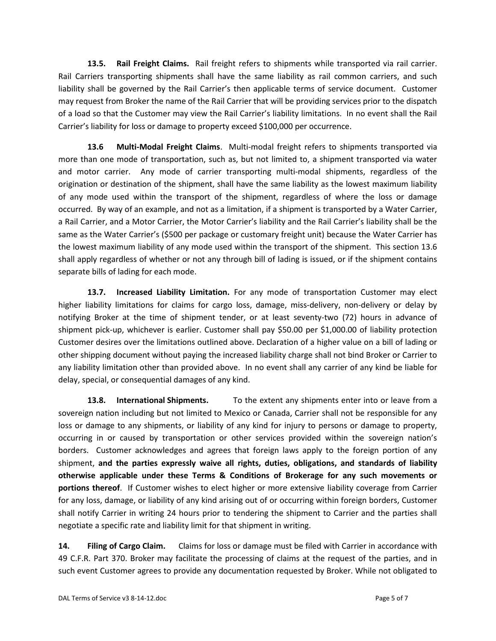**13.5. Rail Freight Claims.** Rail freight refers to shipments while transported via rail carrier. Rail Carriers transporting shipments shall have the same liability as rail common carriers, and such liability shall be governed by the Rail Carrier's then applicable terms of service document. Customer may request from Broker the name of the Rail Carrier that will be providing services prior to the dispatch of a load so that the Customer may view the Rail Carrier's liability limitations. In no event shall the Rail Carrier's liability for loss or damage to property exceed \$100,000 per occurrence.

**13.6 Multi-Modal Freight Claims**. Multi-modal freight refers to shipments transported via more than one mode of transportation, such as, but not limited to, a shipment transported via water and motor carrier. Any mode of carrier transporting multi-modal shipments, regardless of the origination or destination of the shipment, shall have the same liability as the lowest maximum liability of any mode used within the transport of the shipment, regardless of where the loss or damage occurred. By way of an example, and not as a limitation, if a shipment is transported by a Water Carrier, a Rail Carrier, and a Motor Carrier, the Motor Carrier's liability and the Rail Carrier's liability shall be the same as the Water Carrier's (\$500 per package or customary freight unit) because the Water Carrier has the lowest maximum liability of any mode used within the transport of the shipment. This section 13.6 shall apply regardless of whether or not any through bill of lading is issued, or if the shipment contains separate bills of lading for each mode.

**13.7. Increased Liability Limitation.** For any mode of transportation Customer may elect higher liability limitations for claims for cargo loss, damage, miss-delivery, non-delivery or delay by notifying Broker at the time of shipment tender, or at least seventy-two (72) hours in advance of shipment pick-up, whichever is earlier. Customer shall pay \$50.00 per \$1,000.00 of liability protection Customer desires over the limitations outlined above. Declaration of a higher value on a bill of lading or other shipping document without paying the increased liability charge shall not bind Broker or Carrier to any liability limitation other than provided above. In no event shall any carrier of any kind be liable for delay, special, or consequential damages of any kind.

**13.8. International Shipments.** To the extent any shipments enter into or leave from a sovereign nation including but not limited to Mexico or Canada, Carrier shall not be responsible for any loss or damage to any shipments, or liability of any kind for injury to persons or damage to property, occurring in or caused by transportation or other services provided within the sovereign nation's borders. Customer acknowledges and agrees that foreign laws apply to the foreign portion of any shipment, **and the parties expressly waive all rights, duties, obligations, and standards of liability otherwise applicable under these Terms & Conditions of Brokerage for any such movements or portions thereof**. If Customer wishes to elect higher or more extensive liability coverage from Carrier for any loss, damage, or liability of any kind arising out of or occurring within foreign borders, Customer shall notify Carrier in writing 24 hours prior to tendering the shipment to Carrier and the parties shall negotiate a specific rate and liability limit for that shipment in writing.

**14. Filing of Cargo Claim.** Claims for loss or damage must be filed with Carrier in accordance with 49 C.F.R. Part 370. Broker may facilitate the processing of claims at the request of the parties, and in such event Customer agrees to provide any documentation requested by Broker. While not obligated to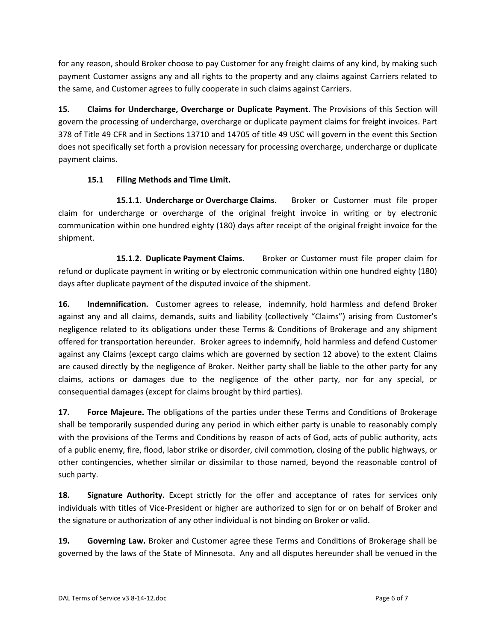for any reason, should Broker choose to pay Customer for any freight claims of any kind, by making such payment Customer assigns any and all rights to the property and any claims against Carriers related to the same, and Customer agrees to fully cooperate in such claims against Carriers.

**15. Claims for Undercharge, Overcharge or Duplicate Payment**. The Provisions of this Section will govern the processing of undercharge, overcharge or duplicate payment claims for freight invoices. Part 378 of Title 49 CFR and in Sections 13710 and 14705 of title 49 USC will govern in the event this Section does not specifically set forth a provision necessary for processing overcharge, undercharge or duplicate payment claims.

## **15.1 Filing Methods and Time Limit.**

**15.1.1. Undercharge or Overcharge Claims.** Broker or Customer must file proper claim for undercharge or overcharge of the original freight invoice in writing or by electronic communication within one hundred eighty (180) days after receipt of the original freight invoice for the shipment.

**15.1.2. Duplicate Payment Claims.** Broker or Customer must file proper claim for refund or duplicate payment in writing or by electronic communication within one hundred eighty (180) days after duplicate payment of the disputed invoice of the shipment.

**16. Indemnification.** Customer agrees to release, indemnify, hold harmless and defend Broker against any and all claims, demands, suits and liability (collectively "Claims") arising from Customer's negligence related to its obligations under these Terms & Conditions of Brokerage and any shipment offered for transportation hereunder. Broker agrees to indemnify, hold harmless and defend Customer against any Claims (except cargo claims which are governed by section 12 above) to the extent Claims are caused directly by the negligence of Broker. Neither party shall be liable to the other party for any claims, actions or damages due to the negligence of the other party, nor for any special, or consequential damages (except for claims brought by third parties).

**17. Force Majeure.** The obligations of the parties under these Terms and Conditions of Brokerage shall be temporarily suspended during any period in which either party is unable to reasonably comply with the provisions of the Terms and Conditions by reason of acts of God, acts of public authority, acts of a public enemy, fire, flood, labor strike or disorder, civil commotion, closing of the public highways, or other contingencies, whether similar or dissimilar to those named, beyond the reasonable control of such party.

**18. Signature Authority.** Except strictly for the offer and acceptance of rates for services only individuals with titles of Vice-President or higher are authorized to sign for or on behalf of Broker and the signature or authorization of any other individual is not binding on Broker or valid.

**19. Governing Law.** Broker and Customer agree these Terms and Conditions of Brokerage shall be governed by the laws of the State of Minnesota. Any and all disputes hereunder shall be venued in the